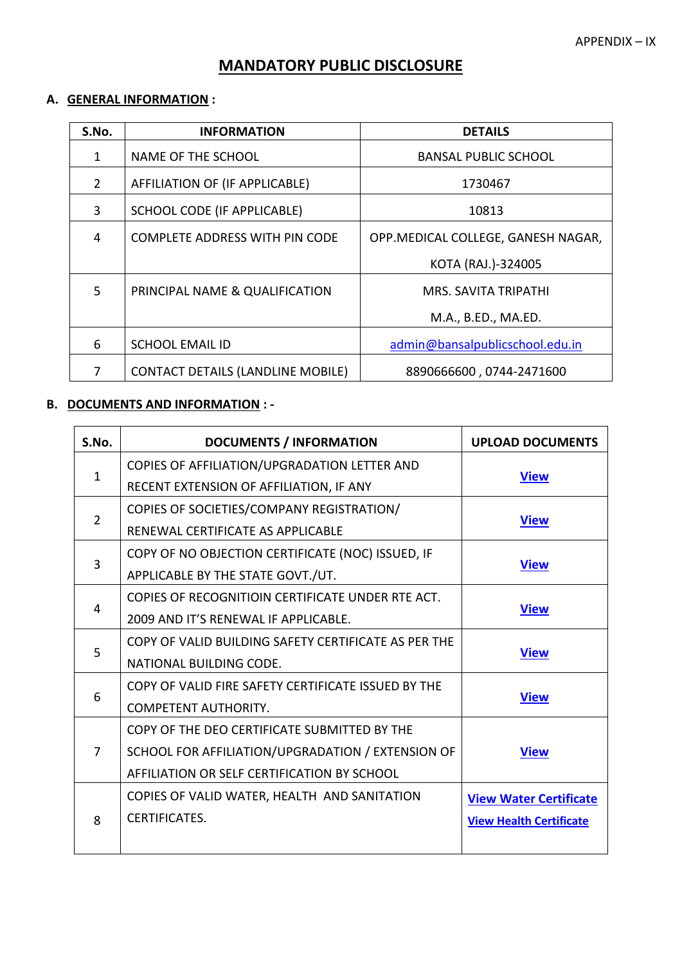## **MANDATORY PUBLIC DISCLOSURE**

# **A. GENERAL INFORMATION :**

| S.No. | <b>INFORMATION</b>                       | <b>DETAILS</b>                     |
|-------|------------------------------------------|------------------------------------|
| 1     | NAME OF THE SCHOOL                       | <b>BANSAL PUBLIC SCHOOL</b>        |
| 2     | AFFILIATION OF (IF APPLICABLE)           | 1730467                            |
| 3     | SCHOOL CODE (IF APPLICABLE)              | 10813                              |
| 4     | <b>COMPLETE ADDRESS WITH PIN CODE</b>    | OPP.MEDICAL COLLEGE, GANESH NAGAR, |
|       |                                          | KOTA (RAJ.)-324005                 |
| 5     | PRINCIPAL NAME & QUALIFICATION           | <b>MRS. SAVITA TRIPATHI</b>        |
|       |                                          | M.A., B.ED., MA.ED.                |
| 6     | <b>SCHOOL EMAIL ID</b>                   | admin@bansalpublicschool.edu.in    |
| 7     | <b>CONTACT DETAILS (LANDLINE MOBILE)</b> | 8890666600, 0744-2471600           |

#### **B. DOCUMENTS AND INFORMATION : -**

| S.No.          | <b>DOCUMENTS / INFORMATION</b>                       | <b>UPLOAD DOCUMENTS</b>        |  |
|----------------|------------------------------------------------------|--------------------------------|--|
|                | COPIES OF AFFILIATION/UPGRADATION LETTER AND         | <b>View</b>                    |  |
| $\mathbf{1}$   | RECENT EXTENSION OF AFFILIATION, IF ANY              |                                |  |
| $\overline{2}$ | COPIES OF SOCIETIES/COMPANY REGISTRATION/            |                                |  |
|                | RENEWAL CERTIFICATE AS APPLICABLE                    | <b>View</b>                    |  |
|                | COPY OF NO OBJECTION CERTIFICATE (NOC) ISSUED, IF    |                                |  |
| 3              | APPLICABLE BY THE STATE GOVT./UT.                    | <b>View</b>                    |  |
|                | COPIES OF RECOGNITIOIN CERTIFICATE UNDER RTE ACT.    |                                |  |
| 4              | 2009 AND IT'S RENEWAL IF APPLICABLE.                 | <b>View</b>                    |  |
| 5              | COPY OF VALID BUILDING SAFETY CERTIFICATE AS PER THE |                                |  |
|                | NATIONAL BUILDING CODE.                              | <b>View</b>                    |  |
|                | COPY OF VALID FIRE SAFETY CERTIFICATE ISSUED BY THE  |                                |  |
| 6              | <b>COMPETENT AUTHORITY.</b>                          | <b>View</b>                    |  |
| 7              | COPY OF THE DEO CERTIFICATE SUBMITTED BY THE         |                                |  |
|                | SCHOOL FOR AFFILIATION/UPGRADATION / EXTENSION OF    | <b>View</b>                    |  |
|                | AFFILIATION OR SELF CERTIFICATION BY SCHOOL          |                                |  |
| 8              | COPIES OF VALID WATER, HEALTH AND SANITATION         | <b>View Water Certificate</b>  |  |
|                | <b>CERTIFICATES.</b>                                 | <b>View Health Certificate</b> |  |
|                |                                                      |                                |  |